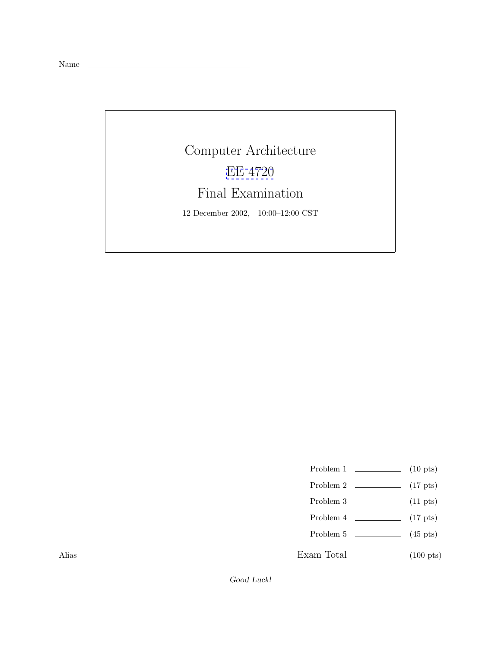Name

Computer Architecture [EE 4720](http://www.ece.lsu.edu/ee4720/) Final Examination 12 December 2002, 10:00–12:00 CST

Problem 1  $\qquad \qquad (10 \text{ pts})$ 

- Problem 2 (17 pts)
- Problem 3  $\qquad \qquad (11 \text{ pts})$
- Problem 4  $\qquad \qquad$  (17 pts)
- Problem 5 (45 pts)

Exam Total \_\_\_\_\_\_\_\_\_\_\_\_\_ (100 pts)

Alias

*Good Luck!*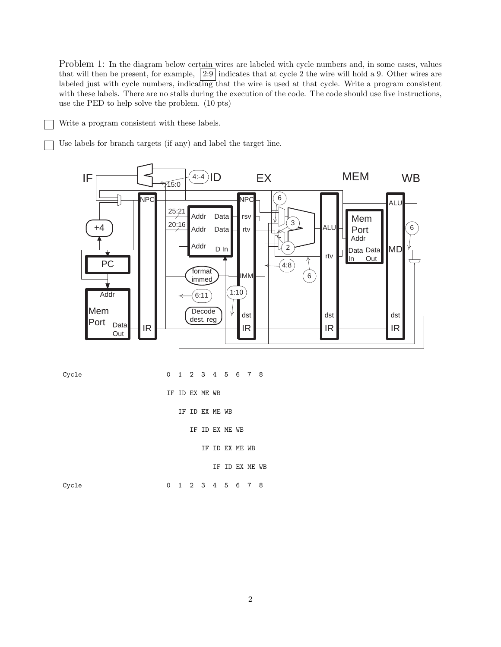Problem 1: In the diagram below certain wires are labeled with cycle numbers and, in some cases, values that will then be present, for example,  $\left|2:9\right|$  indicates that at cycle 2 the wire will hold a 9. Other wires are labeled just with cycle numbers, indicating that the wire is used at that cycle. Write a program consistent with these labels. There are no stalls during the execution of the code. The code should use five instructions, use the PED to help solve the problem. (10 pts)

Write a program consistent with these labels.

Use labels for branch targets (if any) and label the target line.



Cycle 0 1 2 3 4 5 6 7 8 IF ID EX ME WB IF ID EX ME WB IF ID EX ME WB IF ID EX ME WB IF ID EX ME WB Cycle 0 1 2 3 4 5 6 7 8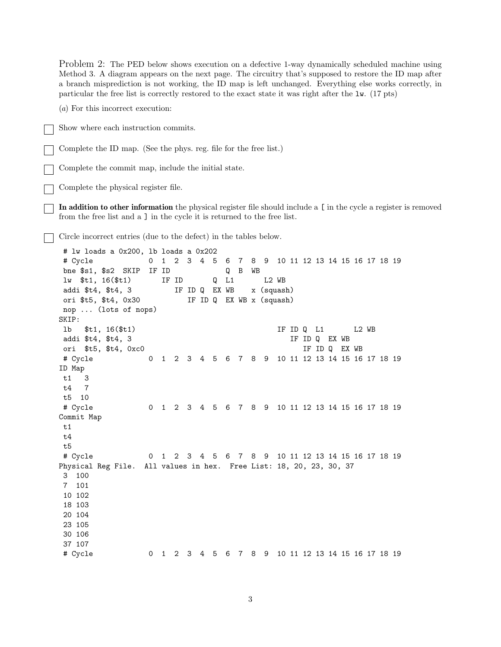Problem 2: The PED below shows execution on a defective 1-way dynamically scheduled machine using Method 3. A diagram appears on the next page. The circuitry that's supposed to restore the ID map after a branch misprediction is not working, the ID map is left unchanged. Everything else works correctly, in particular the free list is correctly restored to the exact state it was right after the lw. (17 pts) (*a*) For this incorrect execution: Show where each instruction commits. Complete the ID map. (See the phys. reg. file for the free list.) Complete the commit map, include the initial state. Complete the physical register file. **In addition to other information** the physical register file should include a [ in the cycle a register is removed from the free list and a ] in the cycle it is returned to the free list. Circle incorrect entries (due to the defect) in the tables below. # lw loads a 0x200, lb loads a 0x202 # Cycle 0 1 2 3 4 5 6 7 8 9 10 11 12 13 14 15 16 17 18 19 bne \$s1, \$s2 SKIP IF ID Q B WB lw \$t1, 16(\$t1) IF ID Q L1 L2 WB addi \$t4, \$t4, 3 IF ID Q EX WB x (squash) ori \$t5, \$t4, 0x30 IF ID Q EX WB x (squash) nop ... (lots of nops) SKIP: lb \$t1, 16(\$t1) IF ID Q L1 L2 WB addi \$t4, \$t4, 3 IF ID Q EX WB ori \$t5, \$t4, 0xc0 IF ID Q EX WB # Cycle 0 1 2 3 4 5 6 7 8 9 10 11 12 13 14 15 16 17 18 19 ID Map t1 3 t4 7 t5 10 # Cycle 0 1 2 3 4 5 6 7 8 9 10 11 12 13 14 15 16 17 18 19 Commit Map t1 t4 t5 # Cycle 0 1 2 3 4 5 6 7 8 9 10 11 12 13 14 15 16 17 18 19 Physical Reg File. All values in hex. Free List: 18, 20, 23, 30, 37 3 100 7 101 10 102 18 103 20 104 23 105 30 106 37 107 # Cycle 0 1 2 3 4 5 6 7 8 9 10 11 12 13 14 15 16 17 18 19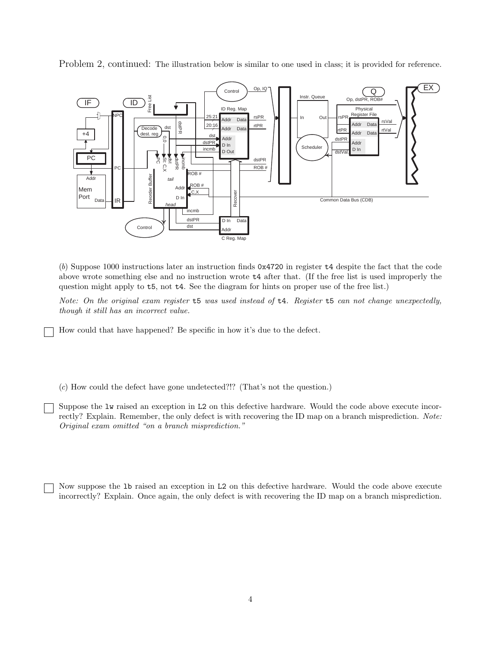Problem 2, continued: The illustration below is similar to one used in class; it is provided for reference.



(*b*) Suppose 1000 instructions later an instruction finds 0x4720 in register t4 despite the fact that the code above wrote something else and no instruction wrote t4 after that. (If the free list is used improperly the question might apply to t5, not t4. See the diagram for hints on proper use of the free list.)

*Note: On the original exam register* t5 *was used instead of* t4*. Register* t5 *can not change unexpectedly, though it still has an incorrect value.*

How could that have happened? Be specific in how it's due to the defect.

(*c*) How could the defect have gone undetected?!? (That's not the question.)

Suppose the lw raised an exception in L2 on this defective hardware. Would the code above execute incorrectly? Explain. Remember, the only defect is with recovering the ID map on a branch misprediction. *Note: Original exam omitted "on a branch misprediction."*

Now suppose the lb raised an exception in L2 on this defective hardware. Would the code above execute incorrectly? Explain. Once again, the only defect is with recovering the ID map on a branch misprediction.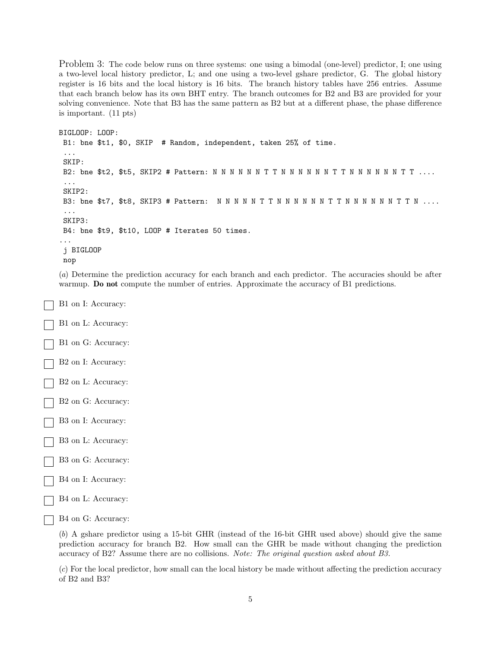Problem 3: The code below runs on three systems: one using a bimodal (one-level) predictor, I; one using a two-level local history predictor, L; and one using a two-level gshare predictor, G. The global history register is 16 bits and the local history is 16 bits. The branch history tables have 256 entries. Assume that each branch below has its own BHT entry. The branch outcomes for B2 and B3 are provided for your solving convenience. Note that B3 has the same pattern as B2 but at a different phase, the phase difference is important. (11 pts)

```
BIGLOOP: LOOP:
B1: bne $t1, $0, SKIP # Random, independent, taken 25% of time.
 ...
SKIP:
B2: bne $t2, $t5, SKIP2 # Pattern: N N N N NNTTNNNNNNTTNNNNNNTT ....
 ...
SKIP2:
B3: bne $t7, $t8, SKIP3 # Pattern: NNNNNTTNNNNNNTTNNNNNNTTN ....
 ...
SKIP3:
B4: bne $t9, $t10, LOOP # Iterates 50 times.
...
j BIGLOOP
nop
```
(*a*) Determine the prediction accuracy for each branch and each predictor. The accuracies should be after warmup. **Do not** compute the number of entries. Approximate the accuracy of B1 predictions.

- B1 on I: Accuracy:
- B1 on L: Accuracy: B1 on G: Accuracy: B2 on I: Accuracy:
- B2 on L: Accuracy:
- B2 on G: Accuracy:
- B3 on I: Accuracy:
- B3 on L: Accuracy:
- B3 on G: Accuracy:
- B4 on I: Accuracy:
- B4 on L: Accuracy:
- B4 on G: Accuracy:

(*b*) A gshare predictor using a 15-bit GHR (instead of the 16-bit GHR used above) should give the same prediction accuracy for branch B2. How small can the GHR be made without changing the prediction accuracy of B2? Assume there are no collisions. *Note: The original question asked about B3.*

(*c*) For the local predictor, how small can the local history be made without affecting the prediction accuracy of B2 and B3?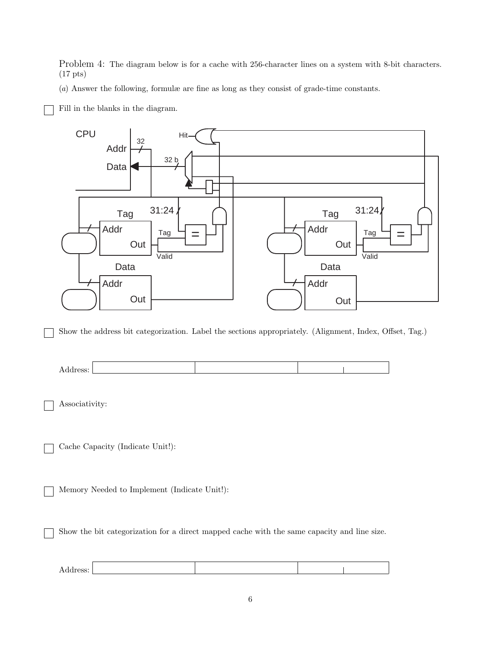Problem 4: The diagram below is for a cache with 256-character lines on a system with 8-bit characters. (17 pts)

(*a*) Answer the following, formulæ are fine as long as they consist of grade-time constants.

Fill in the blanks in the diagram.



Show the address bit categorization. Label the sections appropriately. (Alignment, Index, Offset, Tag.)



Associativity:

Cache Capacity (Indicate Unit!):

Memory Needed to Implement (Indicate Unit!):

Show the bit categorization for a direct mapped cache with the same capacity and line size.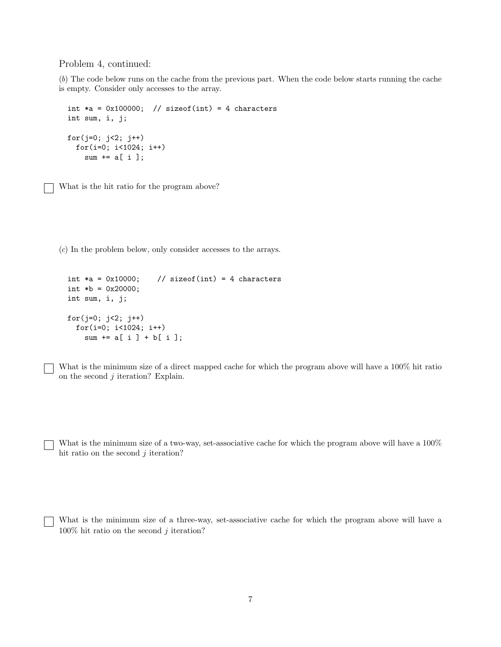Problem 4, continued:

(*b*) The code below runs on the cache from the previous part. When the code below starts running the cache is empty. Consider only accesses to the array.

```
int *a = 0x100000; // sizeof(int) = 4 characters
int sum, i, j;
for(j=0; j<2; j++)for(i=0; i<1024; i++)
   sum += a[i];
```
What is the hit ratio for the program above?

(*c*) In the problem below, only consider accesses to the arrays.

```
int *a = 0x10000; // sizeof(int) = 4 characters
int *b = 0x20000;
int sum, i, j;
for(j=0; j<2; j++)
  for(i=0; i<1024; i++)
    sum += a[ i ] + b[ i ];
```
What is the minimum size of a direct mapped cache for which the program above will have a 100% hit ratio on the second  $j$  iteration? Explain.

What is the minimum size of a two-way, set-associative cache for which the program above will have a  $100\%$ hit ratio on the second  $j$  iteration?

What is the minimum size of a three-way, set-associative cache for which the program above will have a  $100\%$  hit ratio on the second j iteration?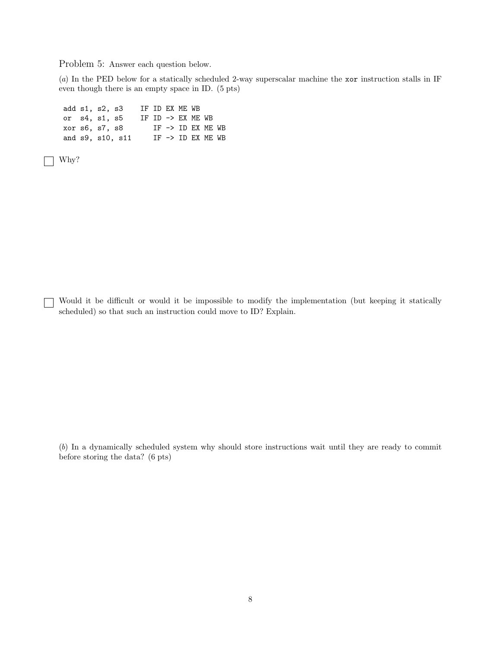Problem 5: Answer each question below.

(*a*) In the PED below for a statically scheduled 2-way superscalar machine the xor instruction stalls in IF even though there is an empty space in ID. (5 pts)

add s1, s2, s3 IF ID EX ME WB or  $s4$ ,  $s1$ ,  $s5$  IF ID  $\rightarrow$  EX ME WB<br>xor  $s6$ ,  $s7$ ,  $s8$  IF  $\rightarrow$  ID EX ME  $IF$  ->  $ID$   $EX$   $ME$   $WB$ and  $s9$ ,  $s10$ ,  $s11$  IF  $\rightarrow$  ID EX ME WB

Why?

Would it be difficult or would it be impossible to modify the implementation (but keeping it statically scheduled) so that such an instruction could move to ID? Explain.

(*b*) In a dynamically scheduled system why should store instructions wait until they are ready to commit before storing the data? (6 pts)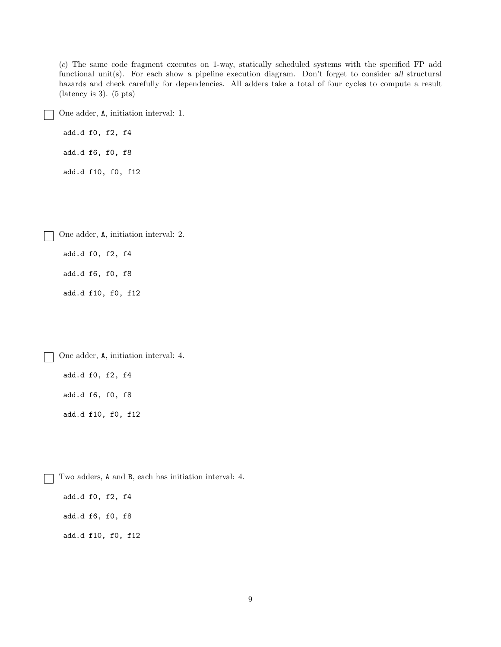(*c*) The same code fragment executes on 1-way, statically scheduled systems with the specified FP add functional unit(s). For each show a pipeline execution diagram. Don't forget to consider *all* structural hazards and check carefully for dependencies. All adders take a total of four cycles to compute a result (latency is 3). (5 pts)

One adder, A, initiation interval: 1.

add.d f0, f2, f4 add.d f6, f0, f8

add.d f10, f0, f12

One adder, A, initiation interval: 2.

add.d f0, f2, f4

add.d f6, f0, f8

add.d f10, f0, f12

One adder, A, initiation interval: 4.

add.d f0, f2, f4 add.d f6, f0, f8 add.d f10, f0, f12

 $\sim 10$ 

Two adders, A and B, each has initiation interval: 4.  $\mathbf{I}$ add.d f0, f2, f4 add.d f6, f0, f8 add.d f10, f0, f12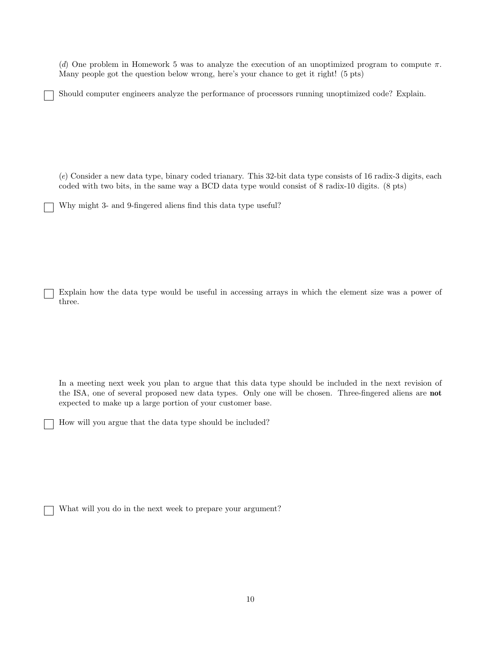(*d*) One problem in Homework 5 was to analyze the execution of an unoptimized program to compute  $\pi$ . Many people got the question below wrong, here's your chance to get it right! (5 pts)

Should computer engineers analyze the performance of processors running unoptimized code? Explain.

(*e*) Consider a new data type, binary coded trianary. This 32-bit data type consists of 16 radix-3 digits, each coded with two bits, in the same way a BCD data type would consist of 8 radix-10 digits. (8 pts)

Why might 3- and 9-fingered aliens find this data type useful?

Explain how the data type would be useful in accessing arrays in which the element size was a power of three.

In a meeting next week you plan to argue that this data type should be included in the next revision of the ISA, one of several proposed new data types. Only one will be chosen. Three-fingered aliens are **not** expected to make up a large portion of your customer base.

How will you argue that the data type should be included?

What will you do in the next week to prepare your argument?